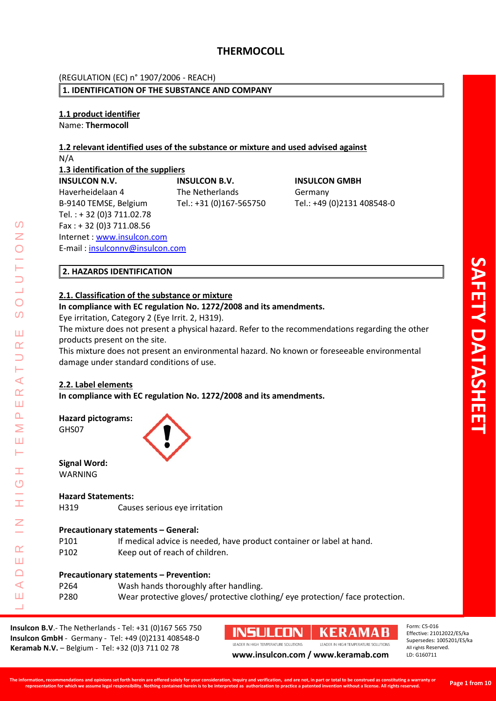#### (REGULATION (EC) n° 1907/2006 - REACH)

#### **1. IDENTIFICATION OF THE SUBSTANCE AND COMPANY**

**1.1 product identifier** Name: **Thermocoll** 

#### **1.2 relevant identified uses of the substance or mixture and used advised against** N/A

**1.3 identification of the suppliers**

**INSULCON N.V. INSULCON B.V. INSULCON GMBH** Haverheidelaan 4 The Netherlands Germany B-9140 TEMSE, Belgium Tel.: +31 (0)167-565750 Tel.: +49 (0)2131 408548-0 Tel. : + 32 (0)3 711.02.78 Fax : + 32 (0)3 711.08.56 Internet : [www.insulcon.com](http://www.insulcon.com/) E-mail [: insulconnv@insulcon.com](mailto:insulconnv@insulcon.com)

 $\Omega$ Z

 $\overline{O}$  $\overline{O}$ 

Ш  $\alpha$ 

 $\blacktriangleleft$  $\underline{\alpha}$ Ш  $\Delta$ Σ Ш  $\longmapsto$ 

Ŧ  $\overline{O}$ 

 $\alpha$ Ш  $\Box$ 

### **2. HAZARDS IDENTIFICATION**

#### **2.1. Classification of the substance or mixture**

**In compliance with EC regulation No. 1272/2008 and its amendments.**

Eye irritation, Category 2 (Eye Irrit. 2, H319).

The mixture does not present a physical hazard. Refer to the recommendations regarding the other products present on the site.

This mixture does not present an environmental hazard. No known or foreseeable environmental damage under standard conditions of use.

#### **2.2. Label elements**

**In compliance with EC regulation No. 1272/2008 and its amendments.**

**Hazard pictograms:** GHS07



**Signal Word:** WARNING

#### **Hazard Statements:**

H319 Causes serious eye irritation

#### **Precautionary statements – General:**

- P101 If medical advice is needed, have product container or label at hand.
- P102 Keep out of reach of children.

#### **Precautionary statements – Prevention:**

LEADER IN HIGH TEMPERATURE SOLUTIONS  $\triangleleft$ P264 Wash hands thoroughly after handling. P280 Wear protective gloves/ protective clothing/ eye protection/ face protection.Ш  $\Box$ 

**Insulcon B.V**.- The Netherlands - Tel: +31 (0)167 565 750 **Insulcon GmbH** - Germany - Tel: +49 (0)2131 408548-0 **Keramab N.V.** – Belgium - Tel: +32 (0)3 711 02 78 **[www.insulcon.com](http://www.insulcon.com/) / www.keramab.com** 

#### **INSULCON KERAMAB**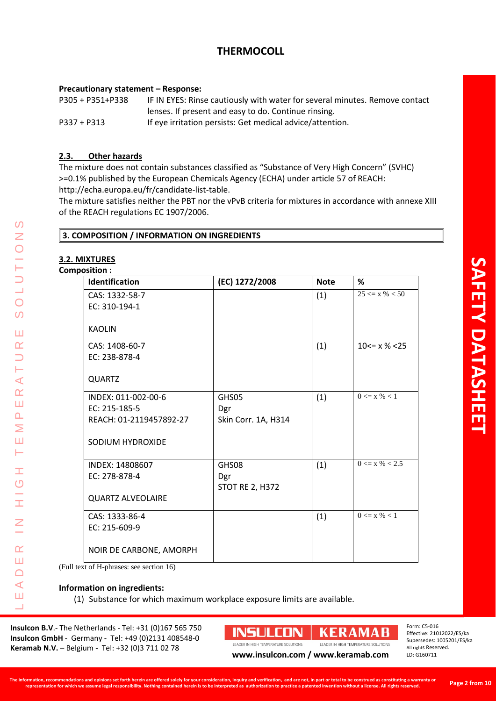#### **Precautionary statement – Response:**

P305 + P351+P338 IF IN EYES: Rinse cautiously with water for several minutes. Remove contact lenses. If present and easy to do. Continue rinsing. P337 + P313 If eye irritation persists: Get medical advice/attention.

#### **2.3. Other hazards**

The mixture does not contain substances classified as "Substance of Very High Concern" (SVHC) >=0.1% published by the European Chemicals Agency (ECHA) under article 57 of REACH: http://echa.europa.eu/fr/candidate-list-table.

The mixture satisfies neither the PBT nor the vPvB criteria for mixtures in accordance with annexe XIII of the REACH regulations EC 1907/2006.

#### **3. COMPOSITION / INFORMATION ON INGREDIENTS**

#### **3.2. MIXTURES**

#### Composition

LEADER IN HIGH TEMPERATURE SOLUTIONS

Ŧ O

Ī

Z

 $\alpha$ Ш  $\Box$  $\triangleleft$ Ш  $\Box$ 

 $\Omega$ Ζ

 $\overline{O}$  $\overline{O}$ 

Ш  $\alpha$  $\Box$ Ĥ  $\triangleleft$  $\underline{\alpha}$ Ш  $\Omega$ Σ Ш Н

| Identification                                                                      | (EC) 1272/2008                         | <b>Note</b> | %                             |
|-------------------------------------------------------------------------------------|----------------------------------------|-------------|-------------------------------|
| CAS: 1332-58-7<br>EC: 310-194-1                                                     |                                        | (1)         | $25 \le x \% < 50$            |
| <b>KAOLIN</b>                                                                       |                                        |             |                               |
| CAS: 1408-60-7<br>EC: 238-878-4                                                     |                                        | (1)         | $10 \le x \frac{1}{6} \le 25$ |
| <b>QUARTZ</b>                                                                       |                                        |             |                               |
| INDEX: 011-002-00-6<br>EC: 215-185-5<br>REACH: 01-2119457892-27<br>SODIUM HYDROXIDE | GHS05<br>Dgr<br>Skin Corr. 1A, H314    | (1)         | $0 \le x \% < 1$              |
| INDEX: 14808607<br>EC: 278-878-4<br><b>QUARTZ ALVEOLAIRE</b>                        | GHS08<br>Dgr<br><b>STOT RE 2, H372</b> | (1)         | $0 \le x \% < 2.5$            |
| CAS: 1333-86-4<br>EC: 215-609-9                                                     |                                        | (1)         | $0 \le x \% < 1$              |
| NOIR DE CARBONE, AMORPH                                                             |                                        |             |                               |

(Full text of H-phrases: see section 16)

**Information on ingredients:**

(1) Substance for which maximum workplace exposure limits are available.

**Insulcon B.V**.- The Netherlands - Tel: +31 (0)167 565 750 **Insulcon GmbH** - Germany - Tel: +49 (0)2131 408548-0 **Keramab N.V.** – Belgium - Tel: +32 (0)3 711 02 78 **[www.insulcon.com](http://www.insulcon.com/) / www.keramab.com** 

**INSULCON** 

**KERAMAB** 

Supersedes: 1005201/ES/ka All rights Reserved. LD: G160711

Form: C5-016

Effective: 21012022/ES/ka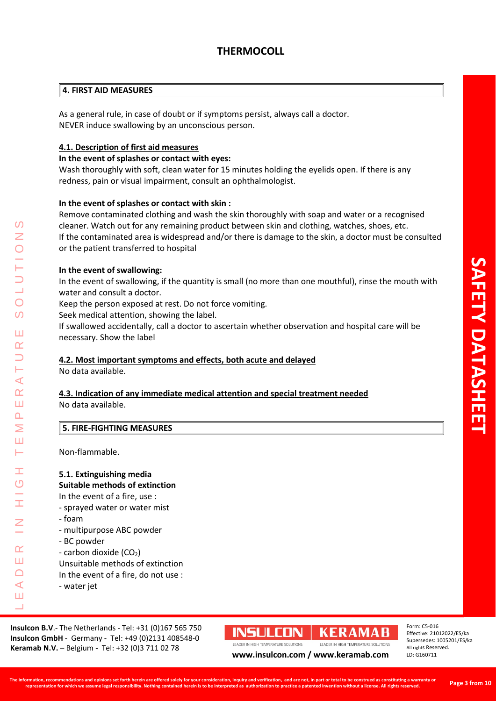#### **4. FIRST AID MEASURES**

As a general rule, in case of doubt or if symptoms persist, always call a doctor. NEVER induce swallowing by an unconscious person.

#### **4.1. Description of first aid measures**

#### **In the event of splashes or contact with eyes:**

Wash thoroughly with soft, clean water for 15 minutes holding the eyelids open. If there is any redness, pain or visual impairment, consult an ophthalmologist.

#### **In the event of splashes or contact with skin :**

Remove contaminated clothing and wash the skin thoroughly with soap and water or a recognised cleaner. Watch out for any remaining product between skin and clothing, watches, shoes, etc. If the contaminated area is widespread and/or there is damage to the skin, a doctor must be consulted or the patient transferred to hospital

#### **In the event of swallowing:**

In the event of swallowing, if the quantity is small (no more than one mouthful), rinse the mouth with water and consult a doctor.

Keep the person exposed at rest. Do not force vomiting.

Seek medical attention, showing the label.

If swallowed accidentally, call a doctor to ascertain whether observation and hospital care will be necessary. Show the label

#### **4.2. Most important symptoms and effects, both acute and delayed**

No data available.

### **4.3. Indication of any immediate medical attention and special treatment needed**

No data available.

#### **5. FIRE-FIGHTING MEASURES**

Non-flammable.

#### **5.1. Extinguishing media**

#### **Suitable methods of extinction**

In the event of a fire, use :

- sprayed water or water mist
- foam
- multipurpose ABC powder
- BC powder
- carbon dioxide  $(CO<sub>2</sub>)$

Unsuitable methods of extinction

In the event of a fire, do not use :

- water jet

**Insulcon B.V**.- The Netherlands - Tel: +31 (0)167 565 750 **Insulcon GmbH** - Germany - Tel: +49 (0)2131 408548-0 **Keramab N.V.** – Belgium - Tel: +32 (0)3 711 02 78 **[www.insulcon.com](http://www.insulcon.com/) / www.keramab.com** 

## **INSULCON | KERAMAB**

Form: C5-016 Effective: 21012022/ES/ka Supersedes: 1005201/ES/ka All rights Reserved. LD: G160711

**The information, recommendations and opinions set forth herein are offered solely for your consideration, inquiry and verification, and are not, in part or total to be construed as constituting a warranty or**  ornation, recommentations and opmions set forth merein are one of our constanting and vertication, and are not, in part of total to be construent as a construction of the state of the state of the state of the state of the

 $\Omega$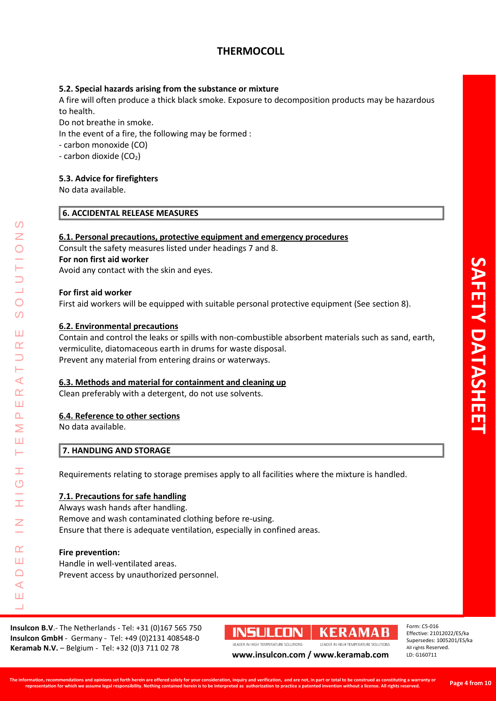#### **5.2. Special hazards arising from the substance or mixture**

A fire will often produce a thick black smoke. Exposure to decomposition products may be hazardous to health.

Do not breathe in smoke.

In the event of a fire, the following may be formed :

- carbon monoxide (CO)

- carbon dioxide  $(CO<sub>2</sub>)$ 

#### **5.3. Advice for firefighters**

No data available.

#### **6. ACCIDENTAL RELEASE MEASURES**

#### **6.1. Personal precautions, protective equipment and emergency procedures**

Consult the safety measures listed under headings 7 and 8. **For non first aid worker** Avoid any contact with the skin and eyes.

#### **For first aid worker**

First aid workers will be equipped with suitable personal protective equipment (See section 8).

#### **6.2. Environmental precautions**

Contain and control the leaks or spills with non-combustible absorbent materials such as sand, earth, vermiculite, diatomaceous earth in drums for waste disposal. Prevent any material from entering drains or waterways.

#### **6.3. Methods and material for containment and cleaning up**

Clean preferably with a detergent, do not use solvents.

#### **6.4. Reference to other sections**

No data available.

LEADER IN HIGH TEMPERATURE SOLUTIONS

Ŧ  $\overline{0}$ 

 $\alpha$ Ш  $\Box$  $\blacktriangleleft$ Ш  $\Box$ 

⋖  $\underline{\alpha}$ Ш  $\Omega$ Σ Ш H

Z

 $\overline{O}$  $\overline{O}$ 

Ш  $\alpha$ 

#### **7. HANDLING AND STORAGE**

Requirements relating to storage premises apply to all facilities where the mixture is handled.

#### **7.1. Precautions for safe handling**

Always wash hands after handling. Remove and wash contaminated clothing before re-using. Ensure that there is adequate ventilation, especially in confined areas.

#### **Fire prevention:**

Handle in well-ventilated areas. Prevent access by unauthorized personnel.

**Insulcon B.V**.- The Netherlands - Tel: +31 (0)167 565 750 **Insulcon GmbH** - Germany - Tel: +49 (0)2131 408548-0 **Keramab N.V.** – Belgium - Tel: +32 (0)3 711 02 78 **WWW.insulcon.com / www.keramab.com** 

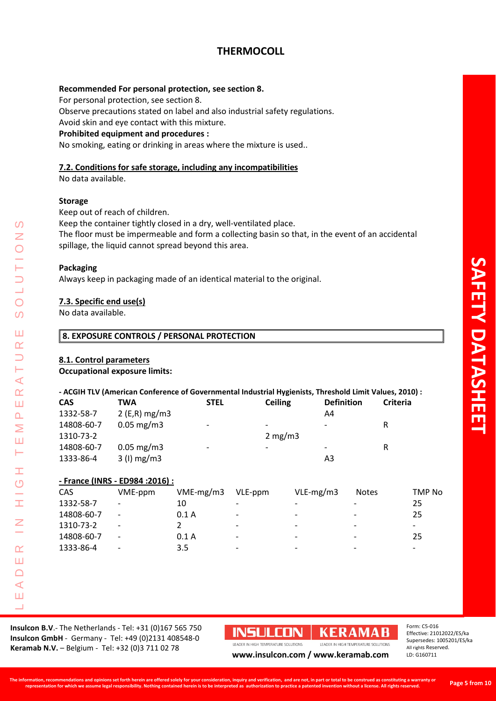#### **Recommended For personal protection, see section 8.**

For personal protection, see section 8.

Observe precautions stated on label and also industrial safety regulations.

Avoid skin and eye contact with this mixture.

#### **Prohibited equipment and procedures :**

No smoking, eating or drinking in areas where the mixture is used..

#### **7.2. Conditions for safe storage, including any incompatibilities**

No data available.

#### **Storage**

Keep out of reach of children.

Keep the container tightly closed in a dry, well-ventilated place.

The floor must be impermeable and form a collecting basin so that, in the event of an accidental spillage, the liquid cannot spread beyond this area.

#### **Packaging**

LEADER IN HIGH TEMPERATURE SOLUTIONS

Ŧ ග

İ

 $\alpha$ Ш  $\Box$  $\triangleleft$ Ш  $\Box$ 

⋖  $\underline{\alpha}$ Ш  $\Omega$ Σ Ш  $\longmapsto$ 

 $\Omega$ Ζ

 $\overline{O}$  $\overline{O}$ 

Ш  $\alpha$ 

Always keep in packaging made of an identical material to the original.

#### **7.3. Specific end use(s)**

No data available.

#### **8. EXPOSURE CONTROLS / PERSONAL PROTECTION**

#### **8.1. Control parameters**

#### **Occupational exposure limits:**

#### **- ACGIH TLV (American Conference of Governmental Industrial Hygienists, Threshold Limit Values, 2010) :**

| <b>CAS</b> | TWA                     | <b>STEL</b>              | <b>Ceiling</b>           | <b>Definition</b>        | <b>Criteria</b> |
|------------|-------------------------|--------------------------|--------------------------|--------------------------|-----------------|
| 1332-58-7  | $2$ (E,R) mg/m3         |                          |                          | A4                       |                 |
| 14808-60-7 | $0.05 \,\mathrm{mg/m3}$ | $\overline{\phantom{0}}$ | $\overline{\phantom{0}}$ | $\overline{\phantom{0}}$ | R               |
| 1310-73-2  |                         |                          | 2 mg/m3                  |                          |                 |
| 14808-60-7 | $0.05 \,\mathrm{mg/m3}$ | $\overline{\phantom{0}}$ | $\overline{\phantom{0}}$ | -                        | R               |
| 1333-86-4  | $3$ (I) mg/m $3$        |                          |                          | A3                       |                 |

#### **- France (INRS - ED984 :2016) :**

| CAS        | VME-ppm                  | $VME-mg/m3$ | VLE-ppm                  | $VLE-mg/m3$              | <b>Notes</b>             | TMP No                   |
|------------|--------------------------|-------------|--------------------------|--------------------------|--------------------------|--------------------------|
| 1332-58-7  | $\overline{\phantom{a}}$ | 10          | $\overline{\phantom{0}}$ | $\overline{\phantom{a}}$ |                          | 25                       |
| 14808-60-7 | $\overline{\phantom{a}}$ | 0.1A        | $\overline{\phantom{0}}$ | $\overline{\phantom{a}}$ | $\overline{\phantom{a}}$ | 25                       |
| 1310-73-2  | $\overline{\phantom{a}}$ |             | $\overline{\phantom{a}}$ | $\overline{\phantom{a}}$ | $\overline{\phantom{a}}$ | $\overline{\phantom{0}}$ |
| 14808-60-7 | $\overline{\phantom{a}}$ | 0.1A        | $\overline{\phantom{0}}$ | $\overline{\phantom{a}}$ | $\overline{\phantom{a}}$ | 25                       |
| 1333-86-4  | $\overline{\phantom{a}}$ | 3.5         | $\overline{\phantom{0}}$ | $\overline{\phantom{a}}$ | $\overline{\phantom{0}}$ | $\overline{\phantom{0}}$ |
|            |                          |             |                          |                          |                          |                          |

**Insulcon B.V**.- The Netherlands - Tel: +31 (0)167 565 750 **Insulcon GmbH** - Germany - Tel: +49 (0)2131 408548-0 **Keramab N.V.** – Belgium - Tel: +32 (0)3 711 02 78 **[www.insulcon.com](http://www.insulcon.com/) / www.keramab.com** 

**INSULCON | KERAMAB** 

Form: C5-016 Effective: 21012022/ES/ka Supersedes: 1005201/ES/ka All rights Reserved. LD: G160711

#### **The information, recommendations and opinions set forth herein are offered solely for your consideration, inquiry and verification, and are not, in part or total to be construed as constituting a warranty or**   $S_{\rm{2}}$  and the continuum and upunum set rotation and outer the content are one to the property and the content of the content of the content of the second and the content of the interaction of the interaction of the se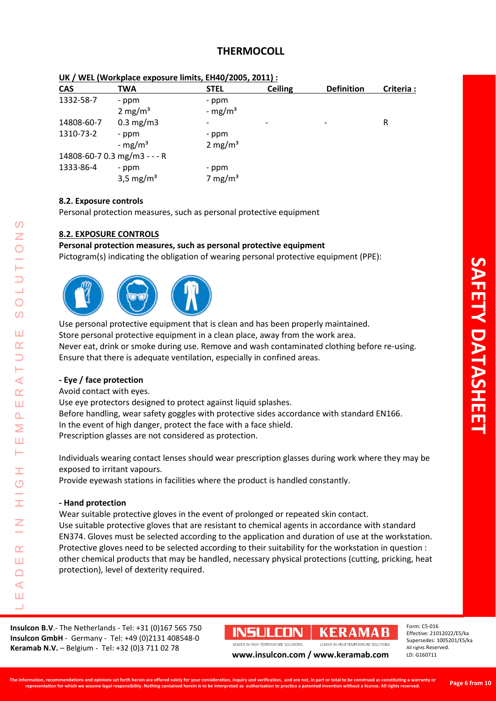| ON 7 WEL (WOI KPIACE EXPOSULE IIIIIILS, EN4U/Z005, Z011). |                              |                     |                |                   |           |
|-----------------------------------------------------------|------------------------------|---------------------|----------------|-------------------|-----------|
| <b>CAS</b>                                                | TWA                          | <b>STEL</b>         | <b>Ceiling</b> | <b>Definition</b> | Criteria: |
| 1332-58-7                                                 | - ppm                        | - ppm               |                |                   |           |
|                                                           | 2 mg/m <sup>3</sup>          | - mg/m <sup>3</sup> |                |                   |           |
| 14808-60-7                                                | $0.3 \text{ mg/m}$           |                     |                |                   | R         |
| 1310-73-2                                                 | - ppm                        | - ppm               |                |                   |           |
|                                                           | - $mg/m^3$                   | 2 mg/m <sup>3</sup> |                |                   |           |
|                                                           | 14808-60-7 0.3 mg/m3 - - - R |                     |                |                   |           |
| 1333-86-4                                                 | - ppm                        | - ppm               |                |                   |           |
|                                                           | 3,5 mg/m <sup>3</sup>        | 7 mg/m <sup>3</sup> |                |                   |           |
|                                                           |                              |                     |                |                   |           |

#### **UK / WEL (Workplace exposure limits, EH40/2005, 2011) :**

#### **8.2. Exposure controls**

Personal protection measures, such as personal protective equipment

#### **8.2. EXPOSURE CONTROLS**

#### **Personal protection measures, such as personal protective equipment**

Pictogram(s) indicating the obligation of wearing personal protective equipment (PPE):



Use personal protective equipment that is clean and has been properly maintained. Store personal protective equipment in a clean place, away from the work area. Never eat, drink or smoke during use. Remove and wash contaminated clothing before re-using. Ensure that there is adequate ventilation, especially in confined areas.

#### **- Eye / face protection**

Avoid contact with eyes.

LEADER IN HIGH TEMPERATURE SOLUTIONS

Ŧ  $\overline{O}$ 

 $\top$ 

 $\alpha$ Ш  $\Box$  $\blacktriangleleft$ Ш  $\Box$ 

 $\blacktriangleleft$  $\underline{\alpha}$ Ш  $\overline{\mathbf{r}}$ Σ Ш Н

 $\Omega$ Z

 $\overline{O}$  $\overline{O}$ 

Ш  $\alpha$  $\overline{\phantom{0}}$ 

> Use eye protectors designed to protect against liquid splashes. Before handling, wear safety goggles with protective sides accordance with standard EN166. In the event of high danger, protect the face with a face shield. Prescription glasses are not considered as protection.

Individuals wearing contact lenses should wear prescription glasses during work where they may be exposed to irritant vapours.

Provide eyewash stations in facilities where the product is handled constantly.

#### **- Hand protection**

Wear suitable protective gloves in the event of prolonged or repeated skin contact. Use suitable protective gloves that are resistant to chemical agents in accordance with standard EN374. Gloves must be selected according to the application and duration of use at the workstation. Protective gloves need to be selected according to their suitability for the workstation in question : other chemical products that may be handled, necessary physical protections (cutting, pricking, heat protection), level of dexterity required.

**Insulcon B.V**.- The Netherlands - Tel: +31 (0)167 565 750 **Insulcon GmbH** - Germany - Tel: +49 (0)2131 408548-0 **Keramab N.V.** – Belgium - Tel: +32 (0)3 711 02 78 **[www.insulcon.com](http://www.insulcon.com/) / www.keramab.com** 

# INSULCON | KERAMAB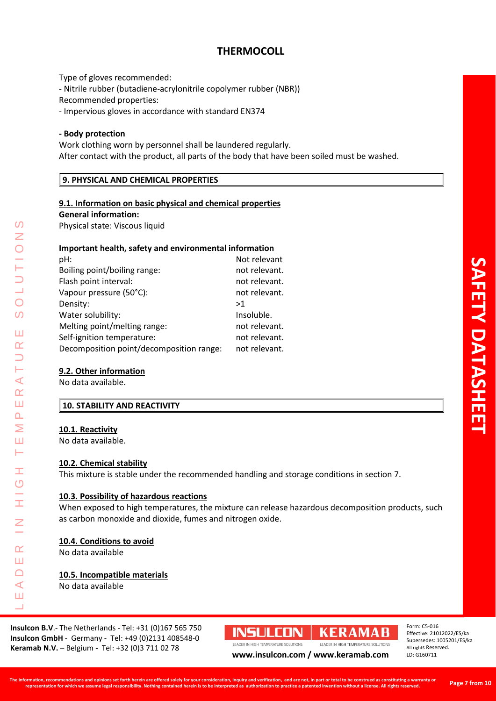Type of gloves recommended:

- Nitrile rubber (butadiene-acrylonitrile copolymer rubber (NBR))

Recommended properties:

- Impervious gloves in accordance with standard EN374

#### **- Body protection**

Work clothing worn by personnel shall be laundered regularly. After contact with the product, all parts of the body that have been soiled must be washed.

#### **9. PHYSICAL AND CHEMICAL PROPERTIES**

#### **9.1. Information on basic physical and chemical properties**

**General information:**

Physical state: Viscous liquid

#### **Important health, safety and environmental information**

| pH:                                      | Not relevant  |
|------------------------------------------|---------------|
| Boiling point/boiling range:             | not relevant. |
| Flash point interval:                    | not relevant. |
| Vapour pressure (50°C):                  | not relevant. |
| Density:                                 | >1            |
| Water solubility:                        | Insoluble.    |
| Melting point/melting range:             | not relevant. |
| Self-ignition temperature:               | not relevant. |
| Decomposition point/decomposition range: | not relevant. |
|                                          |               |

#### **9.2. Other information**

No data available.

#### **10. STABILITY AND REACTIVITY**

#### **10.1. Reactivity**

LEADER IN HIGH TEMPERATURE SOLUTIONS

Ŧ  $\overline{O}$ 

Ī

 $\alpha$ Ш  $\Box$  $\triangleleft$ Ш  $\Box$ 

⋖  $\alpha$ Ш  $\Omega$ Σ Ш  $\longmapsto$ 

 $\Omega$ Z

 $\overline{O}$  $\overline{O}$ 

Ш  $\alpha$ 

No data available.

#### **10.2. Chemical stability**

This mixture is stable under the recommended handling and storage conditions in section 7.

#### **10.3. Possibility of hazardous reactions**

When exposed to high temperatures, the mixture can release hazardous decomposition products, such as carbon monoxide and dioxide, fumes and nitrogen oxide.

#### **10.4. Conditions to avoid**

No data available

#### **10.5. Incompatible materials** No data available

**Insulcon B.V**.- The Netherlands - Tel: +31 (0)167 565 750 **Insulcon GmbH** - Germany - Tel: +49 (0)2131 408548-0 **Keramab N.V.** – Belgium - Tel: +32 (0)3 711 02 78 **[www.insulcon.com](http://www.insulcon.com/) / www.keramab.com** 

**INSULCON | KERAMAB** 

Form: C5-016 Effective: 21012022/ES/ka Supersedes: 1005201/ES/ka All rights Reserved. LD: G160711

**AFETY DATASHEE DATASHEET**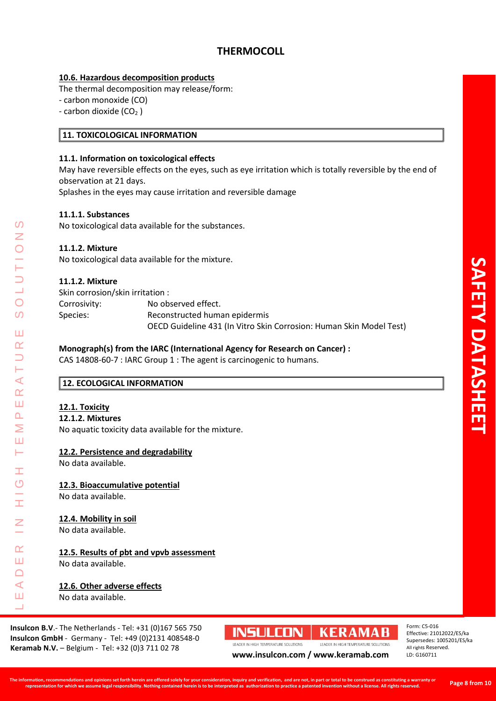#### **10.6. Hazardous decomposition products**

The thermal decomposition may release/form:

- carbon monoxide (CO)

- carbon dioxide  $(CO<sub>2</sub>)$ 

#### **11. TOXICOLOGICAL INFORMATION**

#### **11.1. Information on toxicological effects**

May have reversible effects on the eyes, such as eye irritation which is totally reversible by the end of observation at 21 days.

Splashes in the eyes may cause irritation and reversible damage

#### **11.1.1. Substances**

No toxicological data available for the substances.

#### **11.1.2. Mixture**

No toxicological data available for the mixture.

#### **11.1.2. Mixture**

Skin corrosion/skin irritation : Corrosivity: No observed effect. Species: Reconstructed human epidermis

OECD Guideline 431 (In Vitro Skin Corrosion: Human Skin Model Test)

#### **Monograph(s) from the IARC (International Agency for Research on Cancer) :**

CAS 14808-60-7 : IARC Group 1 : The agent is carcinogenic to humans.

#### **12. ECOLOGICAL INFORMATION**

#### **12.1. Toxicity**

LEADER IN HIGH TEMPERATURE SOLUTIONS

Ŧ  $\overline{O}$ 

 $\alpha$ Ш  $\Box$  $\triangleleft$ Ш  $\Box$ 

 $\blacktriangleleft$  $\underline{\alpha}$ Ш  $\Delta$ Σ Ш  $\longmapsto$ 

 $\Omega$ Z

 $\overline{O}$  $\overline{O}$ 

Ш  $\alpha$  $\overline{\phantom{0}}$ 

#### **12.1.2. Mixtures**

No aquatic toxicity data available for the mixture.

#### **12.2. Persistence and degradability**

No data available.

#### **12.3. Bioaccumulative potential**

No data available.

#### **12.4. Mobility in soil**

No data available.

### **12.5. Results of pbt and vpvb assessment**

No data available.

#### **12.6. Other adverse effects**

No data available.

**Insulcon B.V**.- The Netherlands - Tel: +31 (0)167 565 750 **Insulcon GmbH** - Germany - Tel: +49 (0)2131 408548-0 **Keramab N.V.** – Belgium - Tel: +32 (0)3 711 02 78 **[www.insulcon.com](http://www.insulcon.com/) / www.keramab.com** 

# **INSULCON | KERAMAB**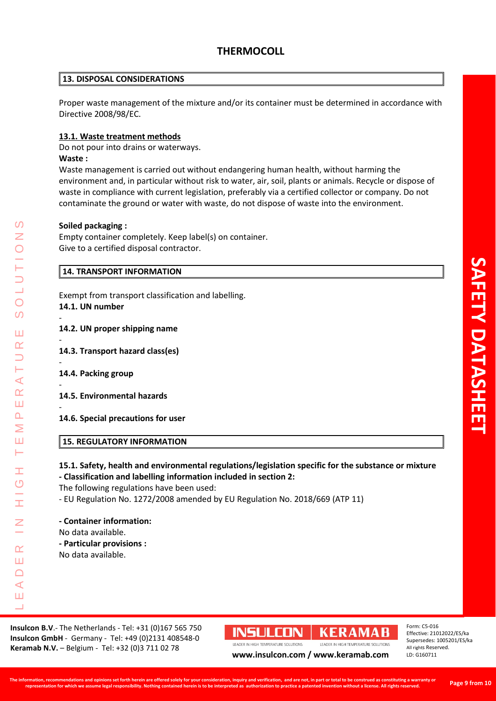#### **13. DISPOSAL CONSIDERATIONS**

Proper waste management of the mixture and/or its container must be determined in accordance with Directive 2008/98/EC.

#### **13.1. Waste treatment methods**

Do not pour into drains or waterways.

#### **Waste :**

Waste management is carried out without endangering human health, without harming the environment and, in particular without risk to water, air, soil, plants or animals. Recycle or dispose of waste in compliance with current legislation, preferably via a certified collector or company. Do not contaminate the ground or water with waste, do not dispose of waste into the environment.

#### **Soiled packaging :**

Empty container completely. Keep label(s) on container. Give to a certified disposal contractor.

#### **14. TRANSPORT INFORMATION**

Exempt from transport classification and labelling. **14.1. UN number**

-

-

-

-

-

- **14.2. UN proper shipping name**
- **14.3. Transport hazard class(es)**

**14.4. Packing group**

LEADER IN HIGH TEMPERATURE SOLUTIONS

Ŧ  $\overline{O}$ 

 $\alpha$ Ш  $\Box$  $\triangleleft$ Ш  $\Box$ 

⋖  $\underline{\alpha}$ Ш  $\Delta$ Σ Ш Н

 $\Omega$ Z

 $\overline{O}$  $\overline{O}$ 

Ш  $\alpha$ 

- **14.5. Environmental hazards**
- **14.6. Special precautions for user**

#### **15. REGULATORY INFORMATION**

#### **15.1. Safety, health and environmental regulations/legislation specific for the substance or mixture - Classification and labelling information included in section 2:**

The following regulations have been used:

- EU Regulation No. 1272/2008 amended by EU Regulation No. 2018/669 (ATP 11)

#### **- Container information:**

No data available.

**- Particular provisions :**

No data available.

**Insulcon B.V**.- The Netherlands - Tel: +31 (0)167 565 750 **Insulcon GmbH** - Germany - Tel: +49 (0)2131 408548-0 **Keramab N.V.** – Belgium - Tel: +32 (0)3 711 02 78 **WWW.insulcon.com / www.keramab.com** 

# **INSULCON | KERAMAB**